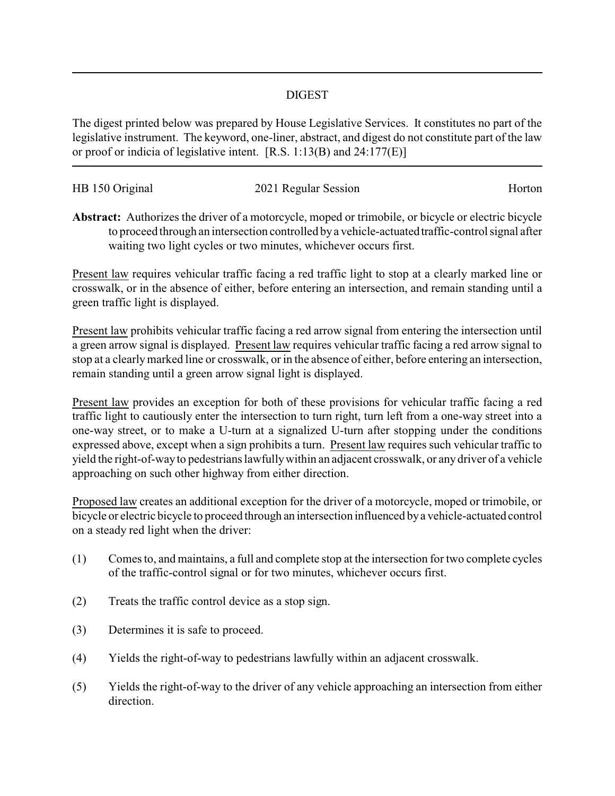## DIGEST

The digest printed below was prepared by House Legislative Services. It constitutes no part of the legislative instrument. The keyword, one-liner, abstract, and digest do not constitute part of the law or proof or indicia of legislative intent. [R.S. 1:13(B) and 24:177(E)]

| HB 150 Original | 2021 Regular Session | Horton |
|-----------------|----------------------|--------|
|                 |                      |        |

**Abstract:** Authorizes the driver of a motorcycle, moped or trimobile, or bicycle or electric bicycle to proceed through an intersection controlled bya vehicle-actuatedtraffic-control signal after waiting two light cycles or two minutes, whichever occurs first.

Present law requires vehicular traffic facing a red traffic light to stop at a clearly marked line or crosswalk, or in the absence of either, before entering an intersection, and remain standing until a green traffic light is displayed.

Present law prohibits vehicular traffic facing a red arrow signal from entering the intersection until a green arrow signal is displayed. Present law requires vehicular traffic facing a red arrow signal to stop at a clearlymarked line or crosswalk, or in the absence of either, before entering an intersection, remain standing until a green arrow signal light is displayed.

Present law provides an exception for both of these provisions for vehicular traffic facing a red traffic light to cautiously enter the intersection to turn right, turn left from a one-way street into a one-way street, or to make a U-turn at a signalized U-turn after stopping under the conditions expressed above, except when a sign prohibits a turn. Present law requires such vehicular traffic to yield the right-of-wayto pedestrians lawfullywithin an adjacent crosswalk, or any driver of a vehicle approaching on such other highway from either direction.

Proposed law creates an additional exception for the driver of a motorcycle, moped or trimobile, or bicycle or electric bicycle to proceed through an intersection influenced bya vehicle-actuated control on a steady red light when the driver:

- (1) Comes to, and maintains, a full and complete stop at the intersection for two complete cycles of the traffic-control signal or for two minutes, whichever occurs first.
- (2) Treats the traffic control device as a stop sign.
- (3) Determines it is safe to proceed.
- (4) Yields the right-of-way to pedestrians lawfully within an adjacent crosswalk.
- (5) Yields the right-of-way to the driver of any vehicle approaching an intersection from either direction.